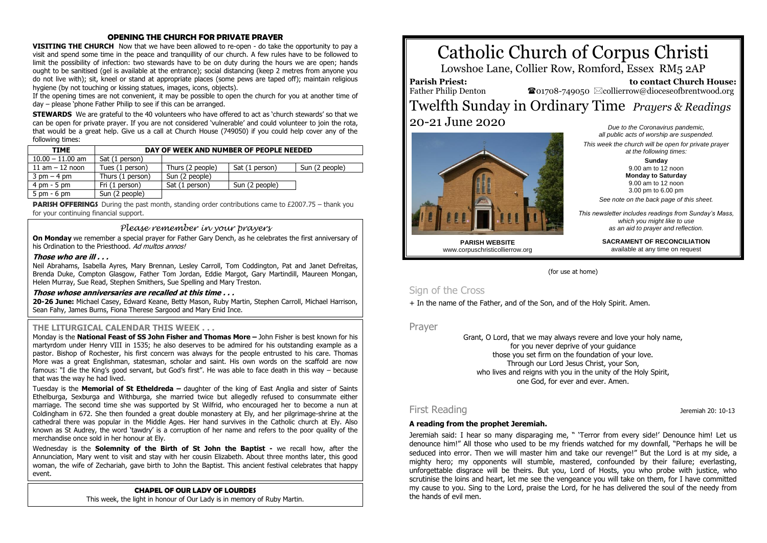#### **OPENING THE CHURCH FOR PRIVATE PRAYER**

**VISITING THE CHURCH** Now that we have been allowed to re-open - do take the opportunity to pay a visit and spend some time in the peace and tranquillity of our church. A few rules have to be followed to limit the possibility of infection: two stewards have to be on duty during the hours we are open; hands ought to be sanitised (gel is available at the entrance); social distancing (keep 2 metres from anyone you do not live with); sit, kneel or stand at appropriate places (some pews are taped off); maintain religious hygiene (by not touching or kissing statues, images, icons, objects).

If the opening times are not convenient, it may be possible to open the church for you at another time of day – please 'phone Father Philip to see if this can be arranged.

**STEWARDS** We are grateful to the 40 volunteers who have offered to act as 'church stewards' so that we can be open for private prayer. If you are not considered 'vulnerable' and could volunteer to join the rota, that would be a great help. Give us a call at Church House (749050) if you could help cover any of the following times:

| <b>TIME</b>                   | DAY OF WEEK AND NUMBER OF PEOPLE NEEDED |                  |                |                |
|-------------------------------|-----------------------------------------|------------------|----------------|----------------|
| $10.00 - 11.00$ am            | Sat (1 person)                          |                  |                |                |
| $11$ am $-12$ noon            | Tues (1 person)                         | Thurs (2 people) | Sat (1 person) | Sun (2 people) |
| $3 \text{ pm} - 4 \text{ pm}$ | Thurs (1 person)                        | Sun (2 people)   |                |                |
| $4 \text{ pm} - 5 \text{ pm}$ | Fri (1 person)                          | Sat (1 person)   | Sun (2 people) |                |
| $5 \text{ pm} - 6 \text{ pm}$ | Sun (2 people)                          |                  |                |                |

**PARISH OFFERINGS** During the past month, standing order contributions came to £2007.75 – thank you for your continuing financial support.

#### *Please remember in your prayers*

**On Monday** we remember a special prayer for Father Gary Dench, as he celebrates the first anniversary of his Ordination to the Priesthood. Ad multos annos!

#### **Those who are ill . . .**

Neil Abrahams, Isabella Ayres, Mary Brennan, Lesley Carroll, Tom Coddington, Pat and Janet Defreitas, Brenda Duke, Compton Glasgow, Father Tom Jordan, Eddie Margot, Gary Martindill, Maureen Mongan, Helen Murray, Sue Read, Stephen Smithers, Sue Spelling and Mary Treston.

#### **Those whose anniversaries are recalled at this time . . .**

**20-26 June:** Michael Casey, Edward Keane, Betty Mason, Ruby Martin, Stephen Carroll, Michael Harrison, Sean Fahy, James Burns, Fiona Therese Sargood and Mary Enid Ince.

#### **THE LITURGICAL CALENDAR THIS WEEK . . .**

Monday is the **National Feast of SS John Fisher and Thomas More –** John Fisher is best known for his martyrdom under Henry VIII in 1535; he also deserves to be admired for his outstanding example as a pastor. Bishop of Rochester, his first concern was always for the people entrusted to his care. Thomas More was a great Englishman, statesman, scholar and saint. His own words on the scaffold are now famous: "I die the King's good servant, but God's first". He was able to face death in this way – because that was the way he had lived.

Tuesday is the **Memorial of St Etheldreda –** daughter of the king of East Anglia and sister of Saints Ethelburga, Sexburga and Withburga, she married twice but allegedly refused to consummate either marriage. The second time she was supported by St Wilfrid, who encouraged her to become a nun at Coldingham in 672. She then founded a great double monastery at Ely, and her pilgrimage-shrine at the cathedral there was popular in the Middle Ages. Her hand survives in the Catholic church at Ely. Also known as St Audrey, the word 'tawdry' is a corruption of her name and refers to the poor quality of the merchandise once sold in her honour at Ely.

Wednesday is the **Solemnity of the Birth of St John the Baptist -** we recall how, after the Annunciation, Mary went to visit and stay with her cousin Elizabeth. About three months later, this good woman, the wife of Zechariah, gave birth to John the Baptist. This ancient festival celebrates that happy event.

### **CHAPEL OF OUR LADY OF LOURDES**

This week, the light in honour of Our Lady is in memory of Ruby Martin.

# Catholic Church of Corpus Christi

Lowshoe Lane, Collier Row, Romford, Essex RM5 2AP

**Parish Priest:** Father Philip Denton

 **to contact Church House:**  $\bullet$ 01708-749050  $\boxtimes$ collierrow@dioceseofbrentwood.org

## Twelfth Sunday in Ordinary Time *Prayers & Readings* 20-21 June 2020



*Due to the Coronavirus pandemic, all public acts of worship are suspended. This week the church will be open for private prayer at the following times:*

> **Sunday** 9.00 am to 12 noon **Monday to Saturday** 9.00 am to 12 noon 3.00 pm to 6.00 pm

*See note on the back page of this sheet.*

*This newsletter includes readings from Sunday's Mass, which you might like to use as an aid to prayer and reflection.*

**PARISH WEBSITE** www.corpuschristicollierrow.org **SACRAMENT OF RECONCILIATION** available at any time on request

(for use at home)

## Sign of the Cross

+ In the name of the Father, and of the Son, and of the Holy Spirit. Amen.

Prayer

Grant, O Lord, that we may always revere and love your holy name, for you never deprive of your quidance those you set firm on the foundation of your love. Through our Lord Jesus Christ, your Son, who lives and reigns with you in the unity of the Holy Spirit, one God, for ever and ever. Amen.

## First Reading Jeremiah 20: 10-13

#### **A reading from the prophet Jeremiah.**

Jeremiah said: I hear so many disparaging me, " 'Terror from every side!' Denounce him! Let us denounce him!" All those who used to be my friends watched for my downfall, "Perhaps he will be seduced into error. Then we will master him and take our revenge!" But the Lord is at my side, a mighty hero; my opponents will stumble, mastered, confounded by their failure; everlasting, unforgettable disgrace will be theirs. But you, Lord of Hosts, you who probe with justice, who scrutinise the loins and heart, let me see the vengeance you will take on them, for I have committed my cause to you. Sing to the Lord, praise the Lord, for he has delivered the soul of the needy from the hands of evil men.